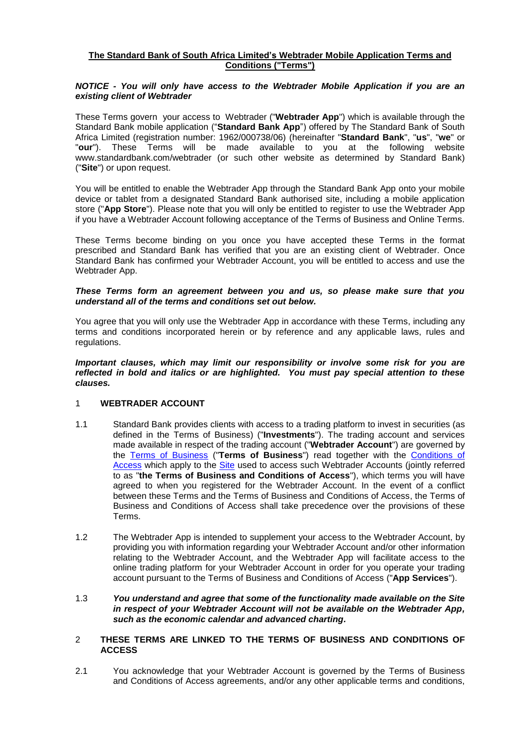## **The Standard Bank of South Africa Limited's Webtrader Mobile Application Terms and Conditions ("Terms")**

## *NOTICE - You will only have access to the Webtrader Mobile Application if you are an existing client of Webtrader*

These Terms govern your access to Webtrader ("**Webtrader App**") which is available through the Standard Bank mobile application ("**Standard Bank App**") offered by The Standard Bank of South Africa Limited (registration number: 1962/000738/06) (hereinafter "**Standard Bank**", "**us**", "**we**" or "**our**"). These Terms will be made available to you at the following website [www.standardbank.com/webtrader](http://www.standardbank.com/webtrader) (or such other website as determined by Standard Bank) ("**Site**") or upon request.

You will be entitled to enable the Webtrader App through the Standard Bank App onto your mobile device or tablet from a designated Standard Bank authorised site, including a mobile application store ("**App Store**"). Please note that you will only be entitled to register to use the Webtrader App if you have a Webtrader Account following acceptance of the Terms of Business and Online Terms.

These Terms become binding on you once you have accepted these Terms in the format prescribed and Standard Bank has verified that you are an existing client of Webtrader. Once Standard Bank has confirmed your Webtrader Account, you will be entitled to access and use the Webtrader App.

### *These Terms form an agreement between you and us, so please make sure that you understand all of the terms and conditions set out below.*

You agree that you will only use the Webtrader App in accordance with these Terms, including any terms and conditions incorporated herein or by reference and any applicable laws, rules and regulations.

*Important clauses, which may limit our responsibility or involve some risk for you are reflected in bold and italics or are highlighted. You must pay special attention to these clauses.*

# 1 **WEBTRADER ACCOUNT**

- 1.1 Standard Bank provides clients with access to a trading platform to invest in securities (as defined in the Terms of Business) ("**Investments**"). The trading account and services made available in respect of the trading account ("**Webtrader Account**") are governed by the [Terms of Business](https://webtrader.standardbank.com/ost/nsp/brochurewarepublic/webtrader/documents/documents.html) ("**Terms of Business**") read together with the [Conditions](https://webtrader.standardbank.com/ost/nsp/brochurewarepublic/webtrader/gettingStarted/siteUsage.html#conditions) of [Access](https://webtrader.standardbank.com/ost/nsp/brochurewarepublic/webtrader/gettingStarted/siteUsage.html#conditions) which apply to the [Site](https://webtrader.standardbank.com/ost/NSWebController?event=VIEW_LOGIN_EVENT) used to access such Webtrader Accounts (jointly referred to as "**the Terms of Business and Conditions of Access**"), which terms you will have agreed to when you registered for the Webtrader Account. In the event of a conflict between these Terms and the Terms of Business and Conditions of Access, the Terms of Business and Conditions of Access shall take precedence over the provisions of these Terms.
- 1.2 The Webtrader App is intended to supplement your access to the Webtrader Account, by providing you with information regarding your Webtrader Account and/or other information relating to the Webtrader Account, and the Webtrader App will facilitate access to the online trading platform for your Webtrader Account in order for you operate your trading account pursuant to the Terms of Business and Conditions of Access ("**App Services**").

## 1.3 *You understand and agree that some of the functionality made available on the Site in respect of your Webtrader Account will not be available on the Webtrader App, such as the economic calendar and advanced charting.*

## 2 **THESE TERMS ARE LINKED TO THE TERMS OF BUSINESS AND CONDITIONS OF ACCESS**

2.1 You acknowledge that your Webtrader Account is governed by the Terms of Business and Conditions of Access agreements, and/or any other applicable terms and conditions,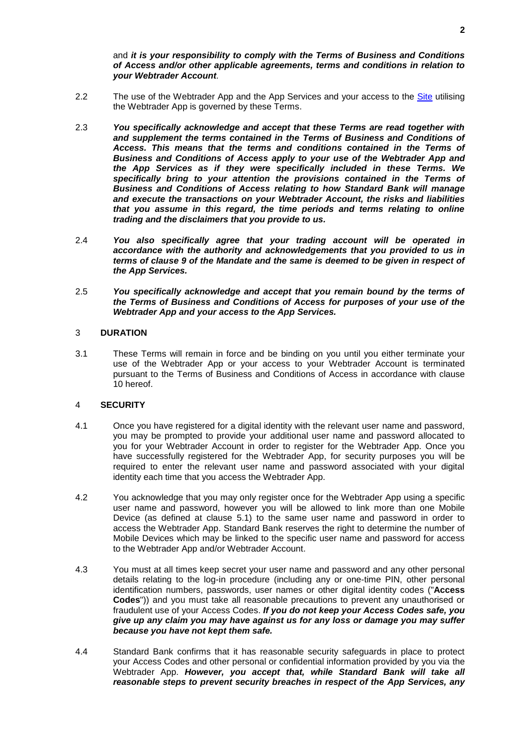## and *it is your responsibility to comply with the Terms of Business and Conditions of Access and/or other applicable agreements, terms and conditions in relation to your Webtrader Account.*

- 2.2 The use of the Webtrader App and the App Services and your access to the [Site](https://webtrader.standardbank.com/ost/NSWebController?event=VIEW_LOGIN_EVENT) utilising the Webtrader App is governed by these Terms.
- 2.3 *You specifically acknowledge and accept that these Terms are read together with and supplement the terms contained in the Terms of Business and Conditions of Access. This means that the terms and conditions contained in the Terms of Business and Conditions of Access apply to your use of the Webtrader App and the App Services as if they were specifically included in these Terms. We specifically bring to your attention the provisions contained in the Terms of Business and Conditions of Access relating to how Standard Bank will manage and execute the transactions on your Webtrader Account, the risks and liabilities that you assume in this regard, the time periods and terms relating to online trading and the disclaimers that you provide to us.*
- 2.4 *You also specifically agree that your trading account will be operated in accordance with the authority and acknowledgements that you provided to us in terms of clause [9](#page-4-0) of the Mandate and the same is deemed to be given in respect of the App Services.*
- 2.5 *You specifically acknowledge and accept that you remain bound by the terms of the Terms of Business and Conditions of Access for purposes of your use of the Webtrader App and your access to the App Services.*

#### 3 **DURATION**

3.1 These Terms will remain in force and be binding on you until you either terminate your use of the Webtrader App or your access to your Webtrader Account is terminated pursuant to the Terms of Business and Conditions of Access in accordance with clause [10](#page-4-1) hereof.

## 4 **SECURITY**

- 4.1 Once you have registered for a digital identity with the relevant user name and password, you may be prompted to provide your additional user name and password allocated to you for your Webtrader Account in order to register for the Webtrader App. Once you have successfully registered for the Webtrader App, for security purposes you will be required to enter the relevant user name and password associated with your digital identity each time that you access the Webtrader App.
- 4.2 You acknowledge that you may only register once for the Webtrader App using a specific user name and password, however you will be allowed to link more than one Mobile Device (as defined at clause [5.1\)](#page-2-0) to the same user name and password in order to access the Webtrader App. Standard Bank reserves the right to determine the number of Mobile Devices which may be linked to the specific user name and password for access to the Webtrader App and/or Webtrader Account.
- 4.3 You must at all times keep secret your user name and password and any other personal details relating to the log-in procedure (including any or one-time PIN, other personal identification numbers, passwords, user names or other digital identity codes ("**Access Codes**")) and you must take all reasonable precautions to prevent any unauthorised or fraudulent use of your Access Codes. *If you do not keep your Access Codes safe, you give up any claim you may have against us for any loss or damage you may suffer because you have not kept them safe.*
- 4.4 Standard Bank confirms that it has reasonable security safeguards in place to protect your Access Codes and other personal or confidential information provided by you via the Webtrader App. *However, you accept that, while Standard Bank will take all reasonable steps to prevent security breaches in respect of the App Services, any*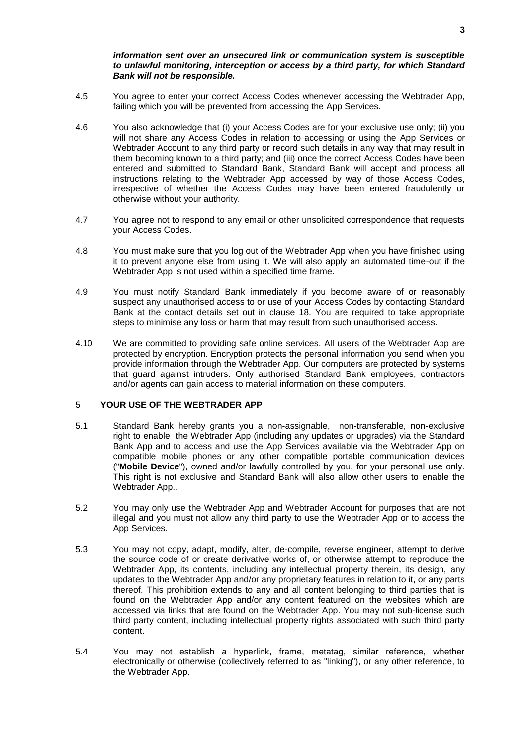## *information sent over an unsecured link or communication system is susceptible to unlawful monitoring, interception or access by a third party, for which Standard Bank will not be responsible.*

- 4.5 You agree to enter your correct Access Codes whenever accessing the Webtrader App, failing which you will be prevented from accessing the App Services.
- 4.6 You also acknowledge that (i) your Access Codes are for your exclusive use only; (ii) you will not share any Access Codes in relation to accessing or using the App Services or Webtrader Account to any third party or record such details in any way that may result in them becoming known to a third party; and (iii) once the correct Access Codes have been entered and submitted to Standard Bank, Standard Bank will accept and process all instructions relating to the Webtrader App accessed by way of those Access Codes, irrespective of whether the Access Codes may have been entered fraudulently or otherwise without your authority.
- 4.7 You agree not to respond to any email or other unsolicited correspondence that requests your Access Codes.
- 4.8 You must make sure that you log out of the Webtrader App when you have finished using it to prevent anyone else from using it. We will also apply an automated time-out if the Webtrader App is not used within a specified time frame.
- 4.9 You must notify Standard Bank immediately if you become aware of or reasonably suspect any unauthorised access to or use of your Access Codes by contacting Standard Bank at the contact details set out in clause [18.](#page-8-0) You are required to take appropriate steps to minimise any loss or harm that may result from such unauthorised access.
- 4.10 We are committed to providing safe online services. All users of the Webtrader App are protected by encryption. Encryption protects the personal information you send when you provide information through the Webtrader App. Our computers are protected by systems that guard against intruders. Only authorised Standard Bank employees, contractors and/or agents can gain access to material information on these computers.

## <span id="page-2-0"></span>5 **YOUR USE OF THE WEBTRADER APP**

- 5.1 Standard Bank hereby grants you a non-assignable, non-transferable, non-exclusive right to enable the Webtrader App (including any updates or upgrades) via the Standard Bank App and to access and use the App Services available via the Webtrader App on compatible mobile phones or any other compatible portable communication devices ("**Mobile Device**"), owned and/or lawfully controlled by you, for your personal use only. This right is not exclusive and Standard Bank will also allow other users to enable the Webtrader App..
- 5.2 You may only use the Webtrader App and Webtrader Account for purposes that are not illegal and you must not allow any third party to use the Webtrader App or to access the App Services.
- 5.3 You may not copy, adapt, modify, alter, de-compile, reverse engineer, attempt to derive the source code of or create derivative works of, or otherwise attempt to reproduce the Webtrader App, its contents, including any intellectual property therein, its design, any updates to the Webtrader App and/or any proprietary features in relation to it, or any parts thereof. This prohibition extends to any and all content belonging to third parties that is found on the Webtrader App and/or any content featured on the websites which are accessed via links that are found on the Webtrader App. You may not sub-license such third party content, including intellectual property rights associated with such third party content.
- 5.4 You may not establish a hyperlink, frame, metatag, similar reference, whether electronically or otherwise (collectively referred to as "linking"), or any other reference, to the Webtrader App.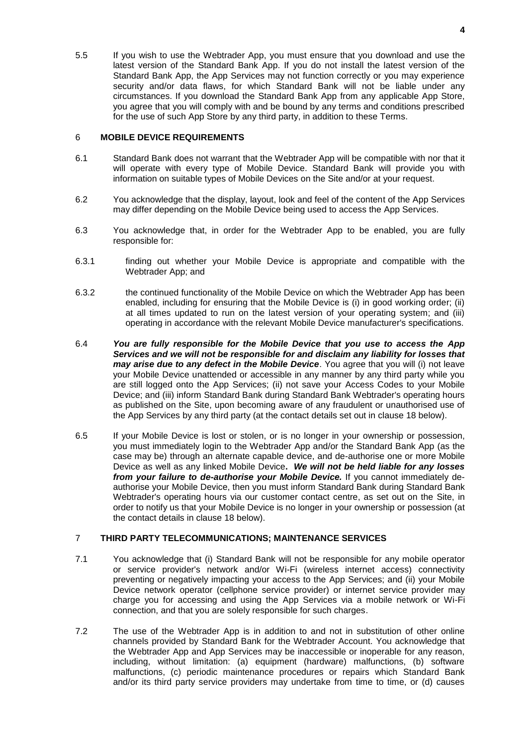5.5 If you wish to use the Webtrader App, you must ensure that you download and use the latest version of the Standard Bank App. If you do not install the latest version of the Standard Bank App, the App Services may not function correctly or you may experience security and/or data flaws, for which Standard Bank will not be liable under any circumstances. If you download the Standard Bank App from any applicable App Store, you agree that you will comply with and be bound by any terms and conditions prescribed for the use of such App Store by any third party, in addition to these Terms.

## 6 **MOBILE DEVICE REQUIREMENTS**

- 6.1 Standard Bank does not warrant that the Webtrader App will be compatible with nor that it will operate with every type of Mobile Device. Standard Bank will provide you with information on suitable types of Mobile Devices on the Site and/or at your request.
- 6.2 You acknowledge that the display, layout, look and feel of the content of the App Services may differ depending on the Mobile Device being used to access the App Services.
- 6.3 You acknowledge that, in order for the Webtrader App to be enabled, you are fully responsible for:
- 6.3.1 finding out whether your Mobile Device is appropriate and compatible with the Webtrader App; and
- 6.3.2 the continued functionality of the Mobile Device on which the Webtrader App has been enabled, including for ensuring that the Mobile Device is (i) in good working order; (ii) at all times updated to run on the latest version of your operating system; and (iii) operating in accordance with the relevant Mobile Device manufacturer's specifications.
- 6.4 *You are fully responsible for the Mobile Device that you use to access the App Services and we will not be responsible for and disclaim any liability for losses that may arise due to any defect in the Mobile Device*. You agree that you will (i) not leave your Mobile Device unattended or accessible in any manner by any third party while you are still logged onto the App Services; (ii) not save your Access Codes to your Mobile Device; and (iii) inform Standard Bank during Standard Bank Webtrader's operating hours as published on the Site, upon becoming aware of any fraudulent or unauthorised use of the App Services by any third party (at the contact details set out in clause [18](#page-8-0) below).
- 6.5 If your Mobile Device is lost or stolen, or is no longer in your ownership or possession, you must immediately login to the Webtrader App and/or the Standard Bank App (as the case may be) through an alternate capable device, and de-authorise one or more Mobile Device as well as any linked Mobile Device**.** *We will not be held liable for any losses from your failure to de-authorise your Mobile Device.* If you cannot immediately deauthorise your Mobile Device, then you must inform Standard Bank during Standard Bank Webtrader's operating hours via our customer contact centre, as set out on the Site, in order to notify us that your Mobile Device is no longer in your ownership or possession (at the contact details in clause [18](#page-8-0) below).

### 7 **THIRD PARTY TELECOMMUNICATIONS; MAINTENANCE SERVICES**

- 7.1 You acknowledge that (i) Standard Bank will not be responsible for any mobile operator or service provider's network and/or Wi-Fi (wireless internet access) connectivity preventing or negatively impacting your access to the App Services; and (ii) your Mobile Device network operator (cellphone service provider) or internet service provider may charge you for accessing and using the App Services via a mobile network or Wi-Fi connection, and that you are solely responsible for such charges.
- 7.2 The use of the Webtrader App is in addition to and not in substitution of other online channels provided by Standard Bank for the Webtrader Account. You acknowledge that the Webtrader App and App Services may be inaccessible or inoperable for any reason, including, without limitation: (a) equipment (hardware) malfunctions, (b) software malfunctions, (c) periodic maintenance procedures or repairs which Standard Bank and/or its third party service providers may undertake from time to time, or (d) causes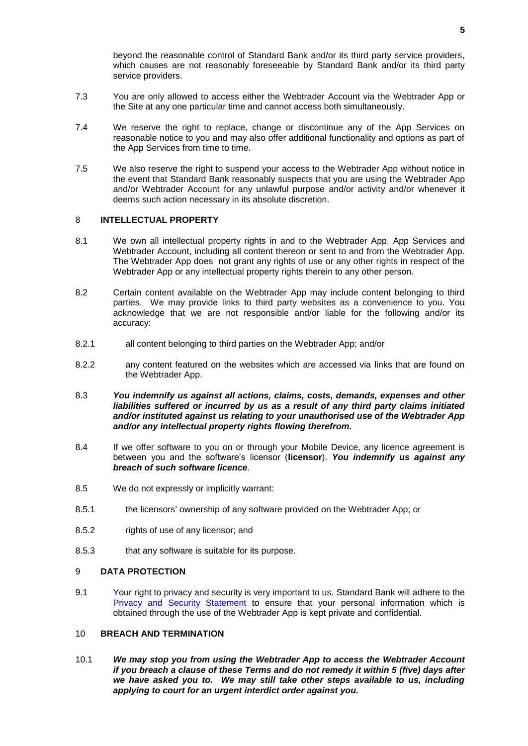beyond the reasonable control of Standard Bank and/or its third party service providers, which causes are not reasonably foreseeable by Standard Bank and/or its third party service providers.

- 7.3 You are only allowed to access either the Webtrader Account via the Webtrader App or the Site at any one particular time and cannot access both simultaneously.
- 7.4 We reserve the right to replace, change or discontinue any of the App Services on reasonable notice to you and may also offer additional functionality and options as part of the App Services from time to time.
- 7.5 We also reserve the right to suspend your access to the Webtrader App without notice in the event that Standard Bank reasonably suspects that you are using the Webtrader App and/or Webtrader Account for any unlawful purpose and/or activity and/or whenever it deems such action necessary in its absolute discretion.

## 8 **INTELLECTUAL PROPERTY**

- 8.1 We own all intellectual property rights in and to the Webtrader App, App Services and Webtrader Account, including all content thereon or sent to and from the Webtrader App. The Webtrader App does not grant any rights of use or any other rights in respect of the Webtrader App or any intellectual property rights therein to any other person.
- 8.2 Certain content available on the Webtrader App may include content belonging to third parties. We may provide links to third party websites as a convenience to you. You acknowledge that we are not responsible and/or liable for the following and/or its accuracy:
- 8.2.1 all content belonging to third parties on the Webtrader App; and/or
- 8.2.2 any content featured on the websites which are accessed via links that are found on the Webtrader App.
- 8.3 *You indemnify us against all actions, claims, costs, demands, expenses and other liabilities suffered or incurred by us as a result of any third party claims initiated and/or instituted against us relating to your unauthorised use of the Webtrader App and/or any intellectual property rights flowing therefrom.*
- 8.4 If we offer software to you on or through your Mobile Device, any licence agreement is between you and the software's licensor (**licensor**). *You indemnify us against any breach of such software licence.*
- 8.5 We do not expressly or implicitly warrant:
- 8.5.1 the licensors' ownership of any software provided on the Webtrader App; or
- 8.5.2 rights of use of any licensor; and
- <span id="page-4-0"></span>8.5.3 that any software is suitable for its purpose.

#### 9 **DATA PROTECTION**

9.1 Your right to privacy and security is very important to us. Standard Bank will adhere to the [Privacy and Security Statement](https://webtrader.standardbank.com/ost/nsp/brochurewarepublic/webtrader/gettingStarted/siteUsage.html) to ensure that your personal information which is obtained through the use of the Webtrader App is kept private and confidential.

## <span id="page-4-1"></span>10 **BREACH AND TERMINATION**

10.1 *We may stop you from using the Webtrader App to access the Webtrader Account if you breach a clause of these Terms and do not remedy it within 5 (five) days after we have asked you to. We may still take other steps available to us, including applying to court for an urgent interdict order against you.*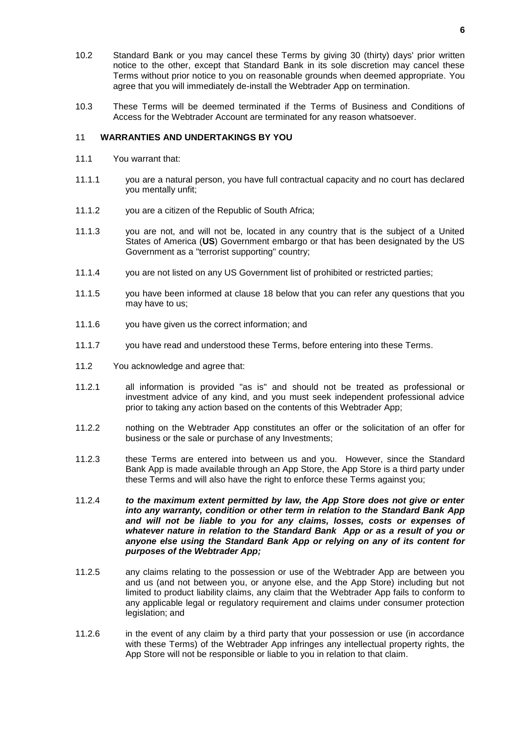- 10.2 Standard Bank or you may cancel these Terms by giving 30 (thirty) days' prior written notice to the other, except that Standard Bank in its sole discretion may cancel these Terms without prior notice to you on reasonable grounds when deemed appropriate. You agree that you will immediately de-install the Webtrader App on termination.
- 10.3 These Terms will be deemed terminated if the Terms of Business and Conditions of Access for the Webtrader Account are terminated for any reason whatsoever.

## 11 **WARRANTIES AND UNDERTAKINGS BY YOU**

- 11.1 You warrant that:
- 11.1.1 you are a natural person, you have full contractual capacity and no court has declared you mentally unfit;
- 11.1.2 you are a citizen of the Republic of South Africa;
- 11.1.3 you are not, and will not be, located in any country that is the subject of a United States of America (**US**) Government embargo or that has been designated by the US Government as a "terrorist supporting" country;
- 11.1.4 you are not listed on any US Government list of prohibited or restricted parties;
- 11.1.5 you have been informed at clause [18](#page-8-0) below that you can refer any questions that you may have to us;
- 11.1.6 you have given us the correct information; and
- 11.1.7 you have read and understood these Terms, before entering into these Terms.
- 11.2 You acknowledge and agree that:
- 11.2.1 all information is provided "as is" and should not be treated as professional or investment advice of any kind, and you must seek independent professional advice prior to taking any action based on the contents of this Webtrader App;
- 11.2.2 nothing on the Webtrader App constitutes an offer or the solicitation of an offer for business or the sale or purchase of any Investments;
- 11.2.3 these Terms are entered into between us and you. However, since the Standard Bank App is made available through an App Store, the App Store is a third party under these Terms and will also have the right to enforce these Terms against you;
- 11.2.4 *to the maximum extent permitted by law, the App Store does not give or enter into any warranty, condition or other term in relation to the Standard Bank App and will not be liable to you for any claims, losses, costs or expenses of whatever nature in relation to the Standard Bank App or as a result of you or anyone else using the Standard Bank App or relying on any of its content for purposes of the Webtrader App;*
- 11.2.5 any claims relating to the possession or use of the Webtrader App are between you and us (and not between you, or anyone else, and the App Store) including but not limited to product liability claims, any claim that the Webtrader App fails to conform to any applicable legal or regulatory requirement and claims under consumer protection legislation; and
- 11.2.6 in the event of any claim by a third party that your possession or use (in accordance with these Terms) of the Webtrader App infringes any intellectual property rights, the App Store will not be responsible or liable to you in relation to that claim.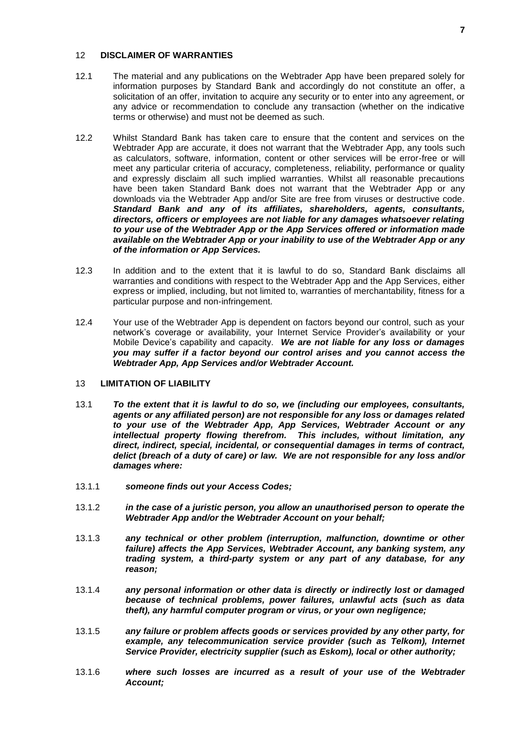## 12 **DISCLAIMER OF WARRANTIES**

- 12.1 The material and any publications on the Webtrader App have been prepared solely for information purposes by Standard Bank and accordingly do not constitute an offer, a solicitation of an offer, invitation to acquire any security or to enter into any agreement, or any advice or recommendation to conclude any transaction (whether on the indicative terms or otherwise) and must not be deemed as such.
- 12.2 Whilst Standard Bank has taken care to ensure that the content and services on the Webtrader App are accurate, it does not warrant that the Webtrader App, any tools such as calculators, software, information, content or other services will be error-free or will meet any particular criteria of accuracy, completeness, reliability, performance or quality and expressly disclaim all such implied warranties. Whilst all reasonable precautions have been taken Standard Bank does not warrant that the Webtrader App or any downloads via the Webtrader App and/or Site are free from viruses or destructive code. *Standard Bank and any of its affiliates, shareholders, agents, consultants, directors, officers or employees are not liable for any damages whatsoever relating to your use of the Webtrader App or the App Services offered or information made available on the Webtrader App or your inability to use of the Webtrader App or any of the information or App Services.*
- 12.3 In addition and to the extent that it is lawful to do so, Standard Bank disclaims all warranties and conditions with respect to the Webtrader App and the App Services, either express or implied, including, but not limited to, warranties of merchantability, fitness for a particular purpose and non-infringement.
- 12.4 Your use of the Webtrader App is dependent on factors beyond our control, such as your network's coverage or availability, your Internet Service Provider's availability or your Mobile Device's capability and capacity. *We are not liable for any loss or damages you may suffer if a factor beyond our control arises and you cannot access the Webtrader App, App Services and/or Webtrader Account.*

#### 13 **LIMITATION OF LIABILITY**

- 13.1 *To the extent that it is lawful to do so, we (including our employees, consultants, agents or any affiliated person) are not responsible for any loss or damages related to your use of the Webtrader App, App Services, Webtrader Account or any intellectual property flowing therefrom. This includes, without limitation, any direct, indirect, special, incidental, or consequential damages in terms of contract, delict (breach of a duty of care) or law. We are not responsible for any loss and/or damages where:*
- 13.1.1 *someone finds out your Access Codes;*
- 13.1.2 *in the case of a juristic person, you allow an unauthorised person to operate the Webtrader App and/or the Webtrader Account on your behalf;*
- 13.1.3 *any technical or other problem (interruption, malfunction, downtime or other failure) affects the App Services, Webtrader Account, any banking system, any trading system, a third-party system or any part of any database, for any reason;*
- 13.1.4 *any personal information or other data is directly or indirectly lost or damaged because of technical problems, power failures, unlawful acts (such as data theft), any harmful computer program or virus, or your own negligence;*
- 13.1.5 *any failure or problem affects goods or services provided by any other party, for example, any telecommunication service provider (such as Telkom), Internet Service Provider, electricity supplier (such as Eskom), local or other authority;*
- 13.1.6 *where such losses are incurred as a result of your use of the Webtrader Account;*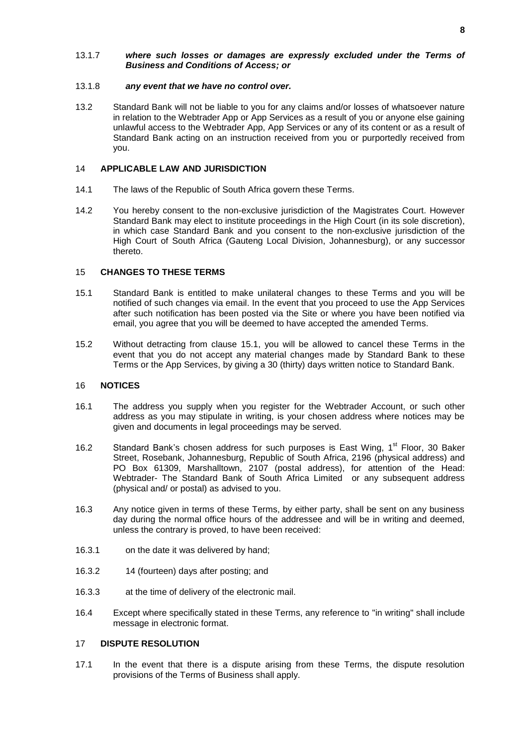#### 13.1.7 *where such losses or damages are expressly excluded under the Terms of Business and Conditions of Access; or*

### 13.1.8 *any event that we have no control over.*

13.2 Standard Bank will not be liable to you for any claims and/or losses of whatsoever nature in relation to the Webtrader App or App Services as a result of you or anyone else gaining unlawful access to the Webtrader App, App Services or any of its content or as a result of Standard Bank acting on an instruction received from you or purportedly received from you.

## 14 **APPLICABLE LAW AND JURISDICTION**

- 14.1 The laws of the Republic of South Africa govern these Terms.
- 14.2 You hereby consent to the non-exclusive jurisdiction of the Magistrates Court. However Standard Bank may elect to institute proceedings in the High Court (in its sole discretion), in which case Standard Bank and you consent to the non-exclusive jurisdiction of the High Court of South Africa (Gauteng Local Division, Johannesburg), or any successor thereto.

## <span id="page-7-0"></span>15 **CHANGES TO THESE TERMS**

- 15.1 Standard Bank is entitled to make unilateral changes to these Terms and you will be notified of such changes via email. In the event that you proceed to use the App Services after such notification has been posted via the Site or where you have been notified via email, you agree that you will be deemed to have accepted the amended Terms.
- 15.2 Without detracting from clause [15.1,](#page-7-0) you will be allowed to cancel these Terms in the event that you do not accept any material changes made by Standard Bank to these Terms or the App Services, by giving a 30 (thirty) days written notice to Standard Bank.

## 16 **NOTICES**

- 16.1 The address you supply when you register for the Webtrader Account, or such other address as you may stipulate in writing, is your chosen address where notices may be given and documents in legal proceedings may be served.
- 16.2 Standard Bank's chosen address for such purposes is East Wing, 1<sup>st</sup> Floor, 30 Baker Street, Rosebank, Johannesburg, Republic of South Africa, 2196 (physical address) and PO Box 61309, Marshalltown, 2107 (postal address), for attention of the Head: Webtrader- The Standard Bank of South Africa Limited or any subsequent address (physical and/ or postal) as advised to you.
- 16.3 Any notice given in terms of these Terms, by either party, shall be sent on any business day during the normal office hours of the addressee and will be in writing and deemed, unless the contrary is proved, to have been received:
- 16.3.1 on the date it was delivered by hand;
- 16.3.2 14 (fourteen) days after posting; and
- 16.3.3 at the time of delivery of the electronic mail.
- 16.4 Except where specifically stated in these Terms, any reference to "in writing" shall include message in electronic format.

## 17 **DISPUTE RESOLUTION**

17.1 In the event that there is a dispute arising from these Terms, the dispute resolution provisions of the Terms of Business shall apply.